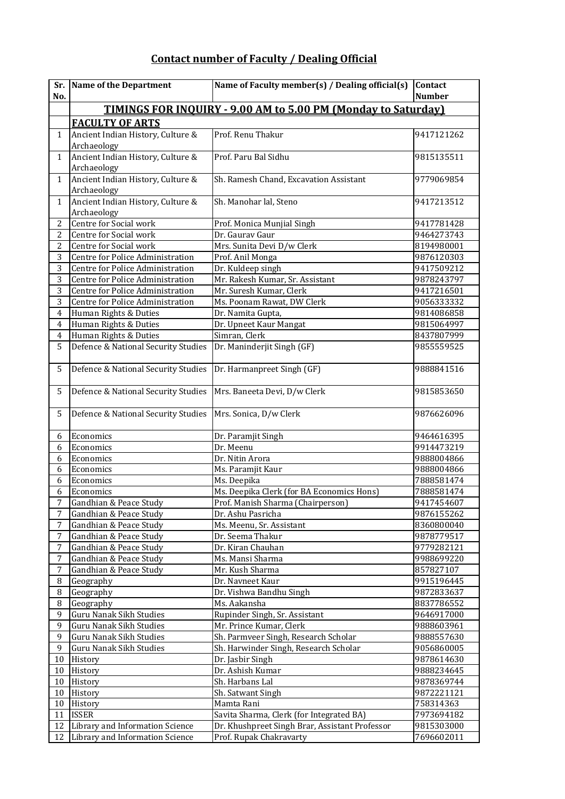## **Contact number of Faculty / Dealing Official**

| Sr.<br>No.              | Name of the Department                                               | Name of Faculty member(s) / Dealing official(s)        | <b>Contact</b><br><b>Number</b> |  |  |
|-------------------------|----------------------------------------------------------------------|--------------------------------------------------------|---------------------------------|--|--|
|                         | <b>TIMINGS FOR INOUIRY - 9.00 AM to 5.00 PM (Monday to Saturday)</b> |                                                        |                                 |  |  |
|                         | <b>FACULTY OF ARTS</b>                                               |                                                        |                                 |  |  |
| $\mathbf{1}$            | Ancient Indian History, Culture &<br>Archaeology                     | Prof. Renu Thakur                                      | 9417121262                      |  |  |
| $\mathbf{1}$            | Ancient Indian History, Culture &<br>Archaeology                     | Prof. Paru Bal Sidhu                                   | 9815135511                      |  |  |
| $\mathbf{1}$            | Ancient Indian History, Culture &<br>Archaeology                     | Sh. Ramesh Chand, Excavation Assistant                 | 9779069854                      |  |  |
| $\mathbf{1}$            | Ancient Indian History, Culture &<br>Archaeology                     | Sh. Manohar lal, Steno                                 | 9417213512                      |  |  |
| $\overline{c}$          | Centre for Social work                                               | Prof. Monica Munjial Singh                             | 9417781428                      |  |  |
| $\overline{c}$          | Centre for Social work                                               | Dr. Gaurav Gaur                                        | 9464273743                      |  |  |
| $\overline{2}$          | Centre for Social work                                               | Mrs. Sunita Devi D/w Clerk                             | 8194980001                      |  |  |
| $\overline{3}$          | Centre for Police Administration                                     | Prof. Anil Monga                                       | 9876120303                      |  |  |
| $\overline{3}$          | Centre for Police Administration                                     | Dr. Kuldeep singh                                      | 9417509212                      |  |  |
| 3                       | Centre for Police Administration                                     | Mr. Rakesh Kumar, Sr. Assistant                        | 9878243797                      |  |  |
| 3                       | Centre for Police Administration                                     | Mr. Suresh Kumar, Clerk                                | 9417216501                      |  |  |
| 3                       | Centre for Police Administration                                     | Ms. Poonam Rawat, DW Clerk                             | 9056333332                      |  |  |
| 4                       | Human Rights & Duties                                                | Dr. Namita Gupta,                                      | 9814086858                      |  |  |
| $\overline{4}$          | Human Rights & Duties                                                | Dr. Upneet Kaur Mangat                                 | 9815064997                      |  |  |
| $\overline{\mathbf{4}}$ | Human Rights & Duties                                                | Simran, Clerk                                          | 8437807999                      |  |  |
| 5                       | Defence & National Security Studies                                  | Dr. Maninderjit Singh (GF)                             | 9855559525                      |  |  |
| 5                       | Defence & National Security Studies                                  | Dr. Harmanpreet Singh (GF)                             | 9888841516                      |  |  |
| 5                       | Defence & National Security Studies                                  | Mrs. Baneeta Devi, D/w Clerk                           | 9815853650                      |  |  |
| 5                       | Defence & National Security Studies                                  | Mrs. Sonica, D/w Clerk                                 | 9876626096                      |  |  |
| 6                       | Economics                                                            | Dr. Paramjit Singh                                     | 9464616395                      |  |  |
| 6                       | Economics                                                            | Dr. Meenu                                              | 9914473219                      |  |  |
| 6                       | Economics                                                            | Dr. Nitin Arora                                        | 9888004866                      |  |  |
| 6                       | Economics                                                            | Ms. Paramjit Kaur                                      | 9888004866                      |  |  |
| $\overline{6}$          | Economics                                                            | Ms. Deepika                                            | 7888581474                      |  |  |
| 6                       | Economics                                                            | Ms. Deepika Clerk (for BA Economics Hons)              | 7888581474                      |  |  |
| $\overline{7}$          | Gandhian & Peace Study                                               | Prof. Manish Sharma (Chairperson)                      | 9417454607                      |  |  |
| 7                       | Gandhian & Peace Study                                               | Dr. Ashu Pasricha                                      | 9876155262                      |  |  |
| $\overline{7}$          | Gandhian & Peace Study                                               | Ms. Meenu, Sr. Assistant                               | 8360800040                      |  |  |
| 7                       | Gandhian & Peace Study                                               | Dr. Seema Thakur                                       | 9878779517                      |  |  |
| $\overline{7}$          | Gandhian & Peace Study                                               | Dr. Kiran Chauhan                                      | 9779282121                      |  |  |
| 7                       | Gandhian & Peace Study                                               | Ms. Mansi Sharma                                       | 9988699220                      |  |  |
| 7                       | Gandhian & Peace Study                                               | Mr. Kush Sharma                                        | 857827107                       |  |  |
| 8                       | Geography                                                            | Dr. Navneet Kaur                                       | 9915196445                      |  |  |
| 8                       | Geography                                                            | Dr. Vishwa Bandhu Singh                                | 9872833637                      |  |  |
| 8                       | Geography                                                            | Ms. Aakansha                                           | 8837786552                      |  |  |
| 9                       | Guru Nanak Sikh Studies                                              | Rupinder Singh, Sr. Assistant                          | 9646917000                      |  |  |
| 9                       | Guru Nanak Sikh Studies                                              | Mr. Prince Kumar, Clerk                                | 9888603961                      |  |  |
| 9                       | Guru Nanak Sikh Studies                                              | Sh. Parmveer Singh, Research Scholar                   | 9888557630                      |  |  |
| 9                       | Guru Nanak Sikh Studies                                              | Sh. Harwinder Singh, Research Scholar                  | 9056860005                      |  |  |
| 10                      | History                                                              | Dr. Jasbir Singh                                       | 9878614630                      |  |  |
| 10                      | History                                                              | Dr. Ashish Kumar                                       | 9888234645                      |  |  |
| 10                      | History                                                              | Sh. Harbans Lal                                        | 9878369744                      |  |  |
| 10                      | History                                                              | Sh. Satwant Singh                                      | 9872221121                      |  |  |
| 10<br>11                | History<br><b>ISSER</b>                                              | Mamta Rani<br>Savita Sharma, Clerk (for Integrated BA) | 758314363                       |  |  |
| 12                      | Library and Information Science                                      | Dr. Khushpreet Singh Brar, Assistant Professor         | 7973694182<br>9815303000        |  |  |
| 12                      | Library and Information Science                                      | Prof. Rupak Chakravarty                                | 7696602011                      |  |  |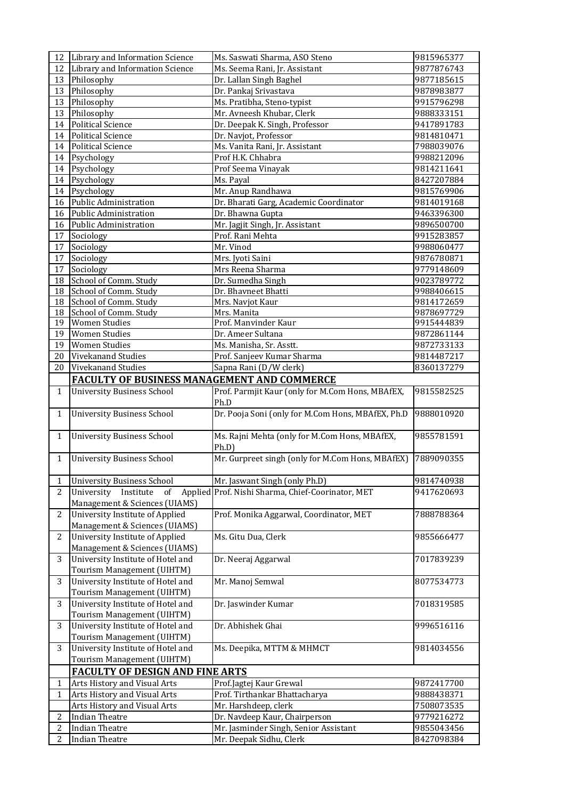| 12             | Library and Information Science                                  | Ms. Saswati Sharma, ASO Steno                            | 9815965377 |  |
|----------------|------------------------------------------------------------------|----------------------------------------------------------|------------|--|
| 12             | Library and Information Science                                  | Ms. Seema Rani, Jr. Assistant                            | 9877876743 |  |
| 13             | Philosophy                                                       | 9877185615                                               |            |  |
| 13             | Philosophy<br>Dr. Pankaj Srivastava                              |                                                          | 9878983877 |  |
| 13             | Philosophy                                                       | 9915796298<br>Ms. Pratibha, Steno-typist                 |            |  |
| 13             | Philosophy                                                       | Mr. Avneesh Khubar, Clerk<br>9888333151                  |            |  |
| 14             | Political Science                                                | Dr. Deepak K. Singh, Professor                           | 9417891783 |  |
| 14             | <b>Political Science</b>                                         | Dr. Navjot, Professor                                    | 9814810471 |  |
| 14             | <b>Political Science</b>                                         | Ms. Vanita Rani, Jr. Assistant                           | 7988039076 |  |
| 14             | Psychology                                                       | Prof H.K. Chhabra                                        | 9988212096 |  |
| 14             | Psychology                                                       | Prof Seema Vinayak                                       | 9814211641 |  |
| 14             | Psychology                                                       | Ms. Payal                                                | 8427207884 |  |
| 14             | Psychology                                                       | Mr. Anup Randhawa                                        | 9815769906 |  |
| 16             | <b>Public Administration</b>                                     | Dr. Bharati Garg, Academic Coordinator                   | 9814019168 |  |
| 16             | <b>Public Administration</b>                                     | Dr. Bhawna Gupta                                         | 9463396300 |  |
| 16             | Public Administration                                            | Mr. Jagjit Singh, Jr. Assistant                          | 9896500700 |  |
| 17             | Sociology                                                        | Prof. Rani Mehta                                         | 9915283857 |  |
| 17             | Sociology                                                        | Mr. Vinod                                                | 9988060477 |  |
| 17             | Sociology                                                        | Mrs. Jyoti Saini                                         | 9876780871 |  |
| 17             | Sociology                                                        | Mrs Reena Sharma                                         | 9779148609 |  |
| 18             | School of Comm. Study                                            | Dr. Sumedha Singh                                        | 9023789772 |  |
| 18             | School of Comm. Study                                            | Dr. Bhavneet Bhatti                                      | 9988406615 |  |
| 18             | School of Comm. Study                                            | Mrs. Navjot Kaur                                         | 9814172659 |  |
| 18             | School of Comm. Study                                            | Mrs. Manita                                              | 9878697729 |  |
| 19             | <b>Women Studies</b>                                             | Prof. Manvinder Kaur                                     | 9915444839 |  |
| 19             | <b>Women Studies</b>                                             | Dr. Ameer Sultana                                        | 9872861144 |  |
| 19             | <b>Women Studies</b>                                             | Ms. Manisha, Sr. Asstt.                                  | 9872733133 |  |
| 20             | <b>Vivekanand Studies</b>                                        | Prof. Sanjeev Kumar Sharma                               | 9814487217 |  |
| 20             | Vivekanand Studies                                               | Sapna Rani (D/W clerk)                                   | 8360137279 |  |
|                | <b>FACULTY OF BUSINESS MANAGEMENT AND COMMERCE</b>               |                                                          |            |  |
| $\mathbf{1}$   | <b>University Business School</b>                                | Prof. Parmjit Kaur (only for M.Com Hons, MBAfEX,<br>Ph.D | 9815582525 |  |
| $\mathbf{1}$   | <b>University Business School</b>                                | Dr. Pooja Soni (only for M.Com Hons, MBAfEX, Ph.D        | 9888010920 |  |
| $\mathbf{1}$   | <b>University Business School</b>                                | Ms. Rajni Mehta (only for M.Com Hons, MBAfEX,            | 9855781591 |  |
|                |                                                                  | Ph.D<br>Mr. Gurpreet singh (only for M.Com Hons, MBAfEX) | 7889090355 |  |
| 1              | <b>University Business School</b>                                |                                                          |            |  |
| $\mathbf{1}$   |                                                                  | Mr. Jaswant Singh (only Ph.D)                            | 9814740938 |  |
|                | University Business School<br>University                         | Prof. Nishi Sharma, Chief-Coorinator, MET                |            |  |
| 2              | Applied<br>Institute<br>of<br>Management & Sciences (UIAMS)      |                                                          | 9417620693 |  |
| 2              | University Institute of Applied                                  | Prof. Monika Aggarwal, Coordinator, MET                  | 7888788364 |  |
|                | Management & Sciences (UIAMS)                                    |                                                          |            |  |
| $\overline{c}$ | University Institute of Applied<br>Management & Sciences (UIAMS) | Ms. Gitu Dua, Clerk                                      | 9855666477 |  |
| 3              | University Institute of Hotel and<br>Tourism Management (UIHTM)  | Dr. Neeraj Aggarwal                                      | 7017839239 |  |
| 3              | University Institute of Hotel and<br>Tourism Management (UIHTM)  | Mr. Manoj Semwal                                         | 8077534773 |  |
| 3              | University Institute of Hotel and                                | Dr. Jaswinder Kumar                                      | 7018319585 |  |
| 3              | Tourism Management (UIHTM)<br>University Institute of Hotel and  | Dr. Abhishek Ghai                                        | 9996516116 |  |
|                | Tourism Management (UIHTM)                                       |                                                          |            |  |
| 3              | University Institute of Hotel and<br>Tourism Management (UIHTM)  | Ms. Deepika, MTTM & MHMCT                                | 9814034556 |  |
|                | <b>FACULTY OF DESIGN AND FINE ARTS</b>                           |                                                          |            |  |
| $\mathbf{1}$   | Arts History and Visual Arts                                     | Prof.Jagtej Kaur Grewal                                  | 9872417700 |  |
| 1              | Arts History and Visual Arts                                     | Prof. Tirthankar Bhattacharya                            | 9888438371 |  |
|                | Arts History and Visual Arts                                     | Mr. Harshdeep, clerk                                     | 7508073535 |  |
| $\overline{c}$ | <b>Indian Theatre</b>                                            | Dr. Navdeep Kaur, Chairperson                            | 9779216272 |  |
| $\overline{c}$ | <b>Indian Theatre</b>                                            | Mr. Jasminder Singh, Senior Assistant                    | 9855043456 |  |
|                |                                                                  |                                                          |            |  |
| 2              | <b>Indian Theatre</b>                                            | Mr. Deepak Sidhu, Clerk                                  | 8427098384 |  |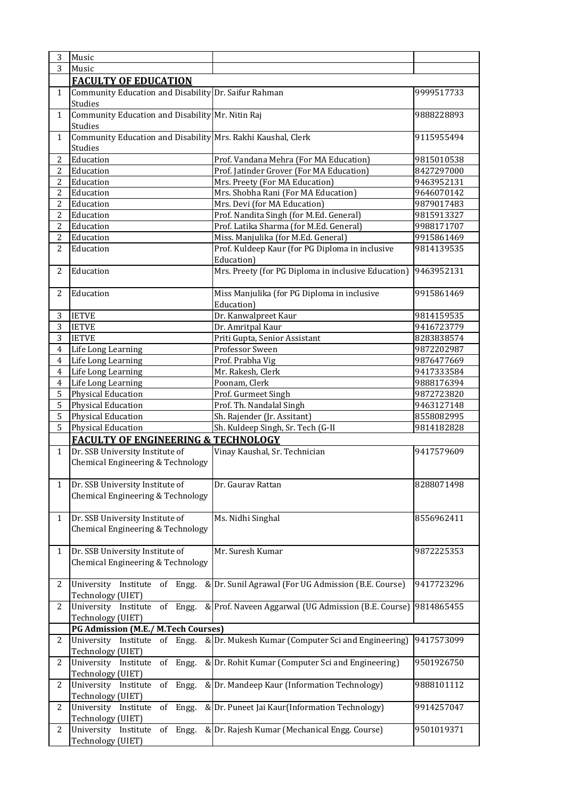| 3              | Music                                                                   |                                                               |            |
|----------------|-------------------------------------------------------------------------|---------------------------------------------------------------|------------|
| $\overline{3}$ | Music                                                                   |                                                               |            |
|                | <b>FACULTY OF EDUCATION</b>                                             |                                                               |            |
| $\mathbf{1}$   | Community Education and Disability Dr. Saifur Rahman<br>Studies         |                                                               | 9999517733 |
| $\mathbf{1}$   | Community Education and Disability Mr. Nitin Raj<br>Studies             |                                                               | 9888228893 |
| $\mathbf{1}$   | Community Education and Disability Mrs. Rakhi Kaushal, Clerk<br>Studies |                                                               | 9115955494 |
| $\overline{2}$ | Education                                                               | Prof. Vandana Mehra (For MA Education)                        | 9815010538 |
| 2              | Education                                                               | Prof. Jatinder Grover (For MA Education)                      | 8427297000 |
| $\overline{c}$ | Education                                                               | Mrs. Preety (For MA Education)                                | 9463952131 |
| $\overline{2}$ | Education                                                               | Mrs. Shobha Rani (For MA Education)                           | 9646070142 |
| $\overline{2}$ | Education                                                               | Mrs. Devi (for MA Education)                                  | 9879017483 |
| $\overline{2}$ | Education                                                               | Prof. Nandita Singh (for M.Ed. General)                       | 9815913327 |
| $\overline{2}$ | Education                                                               | Prof. Latika Sharma (for M.Ed. General)                       | 9988171707 |
| $\overline{2}$ | Education                                                               | Miss. Manjulika (for M.Ed. General)                           | 9915861469 |
| $\overline{2}$ | Education                                                               | Prof. Kuldeep Kaur (for PG Diploma in inclusive<br>Education) | 9814139535 |
| 2              | Education                                                               | Mrs. Preety (for PG Diploma in inclusive Education)           | 9463952131 |
| 2              | Education                                                               | Miss Manjulika (for PG Diploma in inclusive<br>Education)     | 9915861469 |
| 3              | <b>IETVE</b>                                                            | Dr. Kanwalpreet Kaur                                          | 9814159535 |
| 3              | <b>IETVE</b>                                                            | Dr. Amritpal Kaur                                             | 9416723779 |
| 3              | <b>IETVE</b>                                                            | Priti Gupta, Senior Assistant                                 | 8283838574 |
| $\overline{4}$ | Life Long Learning                                                      | Professor Sween                                               | 9872202987 |
| $\overline{4}$ | Life Long Learning                                                      | Prof. Prabha Vig                                              | 9876477669 |
| $\overline{4}$ | Life Long Learning                                                      | Mr. Rakesh, Clerk                                             | 9417333584 |
| $\overline{4}$ | Life Long Learning                                                      | Poonam, Clerk                                                 | 9888176394 |
| 5              | <b>Physical Education</b>                                               | Prof. Gurmeet Singh                                           | 9872723820 |
| 5              | Physical Education                                                      | Prof. Th. Nandalal Singh                                      | 9463127148 |
| 5              | <b>Physical Education</b>                                               | Sh. Rajender (Jr. Assitant)                                   | 8558082995 |
| 5              | <b>Physical Education</b>                                               | Sh. Kuldeep Singh, Sr. Tech (G-II                             | 9814182828 |
|                | <b>FACULTY OF ENGINEERING &amp; TECHNOLOGY</b>                          |                                                               |            |
| $\mathbf{1}$   | Dr. SSB University Institute of                                         | Vinay Kaushal, Sr. Technician                                 | 9417579609 |
|                | Chemical Engineering & Technology                                       |                                                               |            |
| 1              | Dr. SSB University Institute of<br>Chemical Engineering & Technology    | Dr. Gaurav Rattan                                             | 8288071498 |
| $\mathbf{1}$   | Dr. SSB University Institute of<br>Chemical Engineering & Technology    | Ms. Nidhi Singhal                                             | 8556962411 |
| $\mathbf{1}$   | Dr. SSB University Institute of<br>Chemical Engineering & Technology    | Mr. Suresh Kumar                                              | 9872225353 |
| 2              | University Institute of Engg.<br>Technology (UIET)                      | & Dr. Sunil Agrawal (For UG Admission (B.E. Course)           | 9417723296 |
| 2              | University Institute of Engg.<br>Technology (UIET)                      | & Prof. Naveen Aggarwal (UG Admission (B.E. Course)           | 9814865455 |
|                | <b>PG Admission (M.E./ M.Tech Courses)</b>                              |                                                               |            |
| 2              | University Institute of Engg.<br>Technology (UIET)                      | & Dr. Mukesh Kumar (Computer Sci and Engineering)             | 9417573099 |
| 2              | University Institute of Engg.<br>Technology (UIET)                      | & Dr. Rohit Kumar (Computer Sci and Engineering)              | 9501926750 |
| 2              | University Institute<br>of Engg.<br>Technology (UIET)                   | & Dr. Mandeep Kaur (Information Technology)                   | 9888101112 |
| 2              | University<br>Institute<br>of Engg.<br>Technology (UIET)                | & Dr. Puneet Jai Kaur(Information Technology)                 | 9914257047 |
| 2              | University Institute<br>of Engg.<br>Technology (UIET)                   | & Dr. Rajesh Kumar (Mechanical Engg. Course)                  | 9501019371 |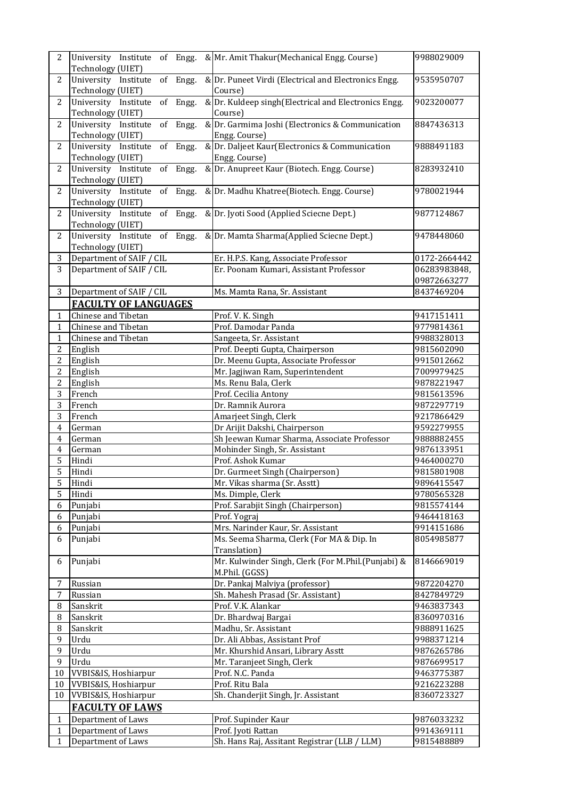| $\overline{2}$      | University Institute of Engg.                           | & Mr. Amit Thakur (Mechanical Engg. Course)                             |  | 9988029009               |
|---------------------|---------------------------------------------------------|-------------------------------------------------------------------------|--|--------------------------|
|                     | Technology (UIET)                                       |                                                                         |  |                          |
| $\overline{2}$      | University Institute of Engg.                           | & Dr. Puneet Virdi (Electrical and Electronics Engg.                    |  | 9535950707               |
|                     | Technology (UIET)                                       | Course)                                                                 |  |                          |
| $\overline{2}$      | University Institute of Engg.                           | & Dr. Kuldeep singh (Electrical and Electronics Engg.                   |  | 9023200077               |
| $\overline{2}$      | Technology (UIET)                                       | Course)<br>& Dr. Garmima Joshi (Electronics & Communication             |  |                          |
|                     | $of$ Engg.<br>University Institute<br>Technology (UIET) |                                                                         |  | 8847436313               |
| $\overline{2}$      | University Institute<br>of Engg.                        | Engg. Course)<br>& Dr. Daljeet Kaur(Electronics & Communication         |  | 9888491183               |
|                     | Technology (UIET)                                       | Engg. Course)                                                           |  |                          |
| $\overline{2}$      | University Institute<br>of Engg.                        | & Dr. Anupreet Kaur (Biotech. Engg. Course)                             |  | 8283932410               |
|                     | Technology (UIET)                                       |                                                                         |  |                          |
| $\overline{c}$      | University Institute<br>of Engg.                        | & Dr. Madhu Khatree(Biotech. Engg. Course)                              |  | 9780021944               |
|                     | Technology (UIET)                                       |                                                                         |  |                          |
| $\overline{2}$      | University Institute of Engg.                           | & Dr. Jyoti Sood (Applied Sciecne Dept.)                                |  | 9877124867               |
|                     | Technology (UIET)                                       |                                                                         |  |                          |
| $\overline{c}$      | University Institute of Engg.                           | & Dr. Mamta Sharma(Applied Sciecne Dept.)                               |  | 9478448060               |
|                     | Technology (UIET)                                       |                                                                         |  |                          |
| 3                   | Department of SAIF / CIL                                | Er. H.P.S. Kang, Associate Professor                                    |  | 0172-2664442             |
| 3                   | Department of SAIF / CIL                                | Er. Poonam Kumari, Assistant Professor                                  |  | 06283983848,             |
|                     |                                                         |                                                                         |  | 09872663277              |
| 3                   | Department of SAIF / CIL                                | Ms. Mamta Rana, Sr. Assistant                                           |  | 8437469204               |
|                     | <b>FACULTY OF LANGUAGES</b>                             |                                                                         |  |                          |
| $\mathbf{1}$        | Chinese and Tibetan                                     | Prof. V. K. Singh                                                       |  | 9417151411               |
| 1                   | Chinese and Tibetan                                     | Prof. Damodar Panda                                                     |  | 9779814361               |
| $\mathbf{1}$        | Chinese and Tibetan                                     | Sangeeta, Sr. Assistant                                                 |  | 9988328013               |
| 2<br>$\overline{c}$ | English<br>English                                      | Prof. Deepti Gupta, Chairperson<br>Dr. Meenu Gupta, Associate Professor |  | 9815602090<br>9915012662 |
| $\overline{2}$      | English                                                 | Mr. Jagjiwan Ram, Superintendent                                        |  | 7009979425               |
| $\overline{c}$      | English                                                 | Ms. Renu Bala, Clerk                                                    |  | 9878221947               |
| 3                   | French                                                  | Prof. Cecilia Antony                                                    |  | 9815613596               |
| $\overline{3}$      | French                                                  | Dr. Ramnik Aurora                                                       |  | 9872297719               |
| 3                   | French                                                  | Amarjeet Singh, Clerk                                                   |  | 9217866429               |
| $\overline{4}$      | German                                                  | Dr Arijit Dakshi, Chairperson                                           |  | 9592279955               |
| $\overline{4}$      | German                                                  | Sh Jeewan Kumar Sharma, Associate Professor                             |  | 9888882455               |
| $\overline{4}$      | German                                                  | Mohinder Singh, Sr. Assistant                                           |  | 9876133951               |
| 5                   | Hindi                                                   | Prof. Ashok Kumar                                                       |  | 9464000270               |
| 5                   | Hindi                                                   | Dr. Gurmeet Singh (Chairperson)                                         |  | 9815801908               |
| 5                   | Hindi                                                   | Mr. Vikas sharma (Sr. Asstt)                                            |  | 9896415547               |
| 5                   | Hindi                                                   | Ms. Dimple, Clerk                                                       |  | 9780565328               |
| 6                   | Punjabi                                                 | Prof. Sarabjit Singh (Chairperson)                                      |  | 9815574144               |
| 6                   | Punjabi                                                 | Prof. Yograj                                                            |  | 9464418163               |
| 6                   | Punjabi                                                 | Mrs. Narinder Kaur, Sr. Assistant                                       |  | 9914151686               |
| 6                   | Punjabi                                                 | Ms. Seema Sharma, Clerk (For MA & Dip. In<br>Translation)               |  | 8054985877               |
|                     |                                                         | Mr. Kulwinder Singh, Clerk (For M.Phil.(Punjabi) &                      |  | 8146669019               |
| 6                   | Punjabi                                                 | M.Phil. (GGSS)                                                          |  |                          |
| 7                   | Russian                                                 | Dr. Pankaj Malviya (professor)                                          |  | 9872204270               |
| 7                   | Russian                                                 | Sh. Mahesh Prasad (Sr. Assistant)                                       |  | 8427849729               |
| 8                   | Sanskrit                                                | Prof. V.K. Alankar                                                      |  | 9463837343               |
| 8                   | Sanskrit                                                | Dr. Bhardwaj Bargai                                                     |  | 8360970316               |
| 8                   | Sanskrit                                                | Madhu, Sr. Assistant                                                    |  | 9888911625               |
| 9                   | Urdu                                                    | Dr. Ali Abbas, Assistant Prof                                           |  | 9988371214               |
| 9                   | Urdu                                                    | Mr. Khurshid Ansari, Library Asstt                                      |  | 9876265786               |
| 9                   | Urdu                                                    | Mr. Taranjeet Singh, Clerk                                              |  | 9876699517               |
| 10                  | VVBIS&IS, Hoshiarpur                                    | Prof. N.C. Panda                                                        |  | 9463775387               |
| $10\,$              | VVBIS&IS, Hoshiarpur                                    | Prof. Ritu Bala                                                         |  | 9216223288               |
| 10                  | VVBIS&IS, Hoshiarpur                                    | Sh. Chanderjit Singh, Jr. Assistant                                     |  | 8360723327               |
|                     | <b>FACULTY OF LAWS</b>                                  |                                                                         |  |                          |
| $\mathbf{1}$        | Department of Laws                                      | Prof. Supinder Kaur                                                     |  | 9876033232               |
| 1                   | Department of Laws                                      | Prof. Jyoti Rattan                                                      |  | 9914369111               |
| 1                   | Department of Laws                                      | Sh. Hans Raj, Assitant Registrar (LLB / LLM)                            |  | 9815488889               |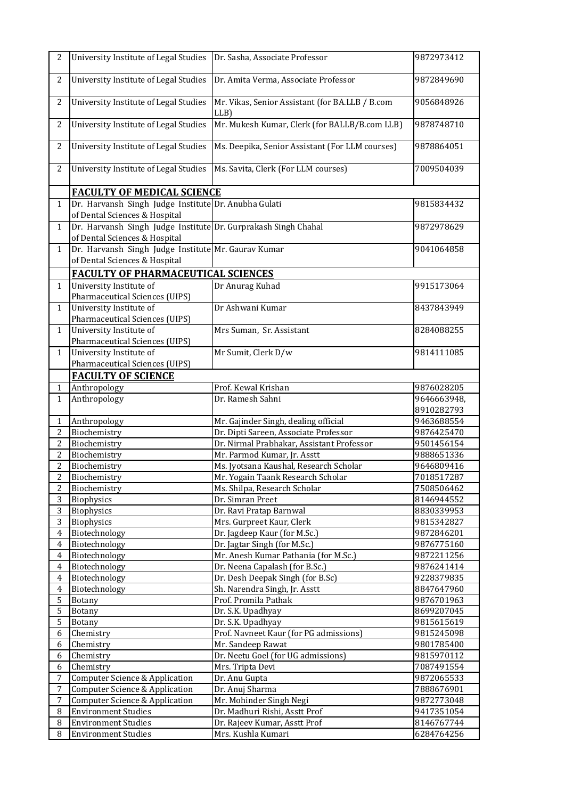| $\overline{c}$          | University Institute of Legal Studies                                                           | Dr. Sasha, Associate Professor                                           | 9872973412               |
|-------------------------|-------------------------------------------------------------------------------------------------|--------------------------------------------------------------------------|--------------------------|
| $\overline{c}$          | University Institute of Legal Studies                                                           | Dr. Amita Verma, Associate Professor                                     | 9872849690               |
|                         |                                                                                                 |                                                                          |                          |
| $\overline{c}$          | University Institute of Legal Studies                                                           | Mr. Vikas, Senior Assistant (for BA.LLB / B.com<br>LLB)                  | 9056848926               |
| $\overline{c}$          | University Institute of Legal Studies                                                           | Mr. Mukesh Kumar, Clerk (for BALLB/B.com LLB)                            | 9878748710               |
| $\overline{c}$          | University Institute of Legal Studies                                                           | Ms. Deepika, Senior Assistant (For LLM courses)                          | 9878864051               |
| $\overline{c}$          | University Institute of Legal Studies                                                           | Ms. Savita, Clerk (For LLM courses)                                      | 7009504039               |
|                         | <b>FACULTY OF MEDICAL SCIENCE</b>                                                               |                                                                          |                          |
| $\mathbf{1}$            | Dr. Harvansh Singh Judge Institute Dr. Anubha Gulati<br>of Dental Sciences & Hospital           |                                                                          | 9815834432               |
| $\mathbf{1}$            | Dr. Harvansh Singh Judge Institute Dr. Gurprakash Singh Chahal<br>of Dental Sciences & Hospital |                                                                          | 9872978629               |
| $\mathbf{1}$            | Dr. Harvansh Singh Judge Institute Mr. Gaurav Kumar<br>of Dental Sciences & Hospital            |                                                                          | 9041064858               |
|                         | <b>FACULTY OF PHARMACEUTICAL SCIENCES</b>                                                       |                                                                          |                          |
| $\mathbf{1}$            | University Institute of                                                                         | Dr Anurag Kuhad                                                          | 9915173064               |
|                         | Pharmaceutical Sciences (UIPS)                                                                  |                                                                          |                          |
| $\mathbf{1}$            | University Institute of                                                                         | Dr Ashwani Kumar                                                         | 8437843949               |
|                         | Pharmaceutical Sciences (UIPS)                                                                  |                                                                          |                          |
| $\mathbf{1}$            | University Institute of<br>Pharmaceutical Sciences (UIPS)                                       | Mrs Suman, Sr. Assistant                                                 | 8284088255               |
| $\mathbf{1}$            | University Institute of                                                                         | Mr Sumit, Clerk D/w                                                      | 9814111085               |
|                         | <b>Pharmaceutical Sciences (UIPS)</b>                                                           |                                                                          |                          |
|                         | <b>FACULTY OF SCIENCE</b>                                                                       |                                                                          |                          |
| 1                       | Anthropology                                                                                    | Prof. Kewal Krishan                                                      | 9876028205               |
| $\mathbf 1$             | Anthropology                                                                                    | Dr. Ramesh Sahni                                                         | 9646663948,              |
|                         |                                                                                                 |                                                                          | 8910282793               |
| $\mathbf{1}$            | Anthropology                                                                                    | Mr. Gajinder Singh, dealing official                                     | 9463688554               |
| $\overline{c}$          | Biochemistry<br>Biochemistry                                                                    | Dr. Dipti Sareen, Associate Professor                                    | 9876425470               |
| 2<br>$\overline{c}$     | Biochemistry                                                                                    | Dr. Nirmal Prabhakar, Assistant Professor<br>Mr. Parmod Kumar, Jr. Asstt | 9501456154<br>9888651336 |
| $\overline{\mathbf{c}}$ | Biochemistry                                                                                    | Ms. Jyotsana Kaushal, Research Scholar                                   | 9646809416               |
| $\overline{c}$          | Biochemistry                                                                                    | Mr. Yogain Taank Research Scholar                                        | 7018517287               |
| $\overline{c}$          | Biochemistry                                                                                    | Ms. Shilpa, Research Scholar                                             | 7508506462               |
| 3                       | Biophysics                                                                                      | Dr. Simran Preet                                                         | 8146944552               |
| 3                       | Biophysics                                                                                      | Dr. Ravi Pratap Barnwal                                                  | 8830339953               |
| $\overline{3}$          | Biophysics                                                                                      | Mrs. Gurpreet Kaur, Clerk                                                | 9815342827               |
| $\overline{4}$          | Biotechnology                                                                                   | Dr. Jagdeep Kaur (for M.Sc.)                                             | 9872846201               |
| $\overline{4}$          | Biotechnology                                                                                   | Dr. Jagtar Singh (for M.Sc.)                                             | 9876775160               |
| $\overline{4}$          | Biotechnology                                                                                   | Mr. Anesh Kumar Pathania (for M.Sc.)                                     | 9872211256               |
| 4                       | Biotechnology                                                                                   | Dr. Neena Capalash (for B.Sc.)                                           | 9876241414               |
| $\overline{4}$          | Biotechnology                                                                                   | Dr. Desh Deepak Singh (for B.Sc)                                         | 9228379835               |
| 4                       | Biotechnology                                                                                   | Sh. Narendra Singh, Jr. Asstt                                            | 8847647960               |
| 5                       | <b>Botany</b>                                                                                   | Prof. Promila Pathak                                                     | 9876701963               |
| 5                       | <b>Botany</b>                                                                                   | Dr. S.K. Upadhyay                                                        | 8699207045               |
| 5                       | <b>Botany</b>                                                                                   | Dr. S.K. Upadhyay                                                        | 9815615619               |
| 6                       | Chemistry                                                                                       | Prof. Navneet Kaur (for PG admissions)                                   | 9815245098               |
| 6<br>6                  | Chemistry<br>Chemistry                                                                          | Mr. Sandeep Rawat<br>Dr. Neetu Goel (for UG admissions)                  | 9801785400<br>9815970112 |
| 6                       | Chemistry                                                                                       | Mrs. Tripta Devi                                                         | 7087491554               |
| 7                       | <b>Computer Science &amp; Application</b>                                                       | Dr. Anu Gupta                                                            | 9872065533               |
| $\sqrt{ }$              | Computer Science & Application                                                                  | Dr. Anuj Sharma                                                          | 7888676901               |
| $\overline{7}$          | Computer Science & Application                                                                  | Mr. Mohinder Singh Negi                                                  | 9872773048               |
| 8                       | <b>Environment Studies</b>                                                                      | Dr. Madhuri Rishi, Asstt Prof                                            | 9417351054               |
| 8                       | <b>Environment Studies</b>                                                                      | Dr. Rajeev Kumar, Asstt Prof                                             | 8146767744               |
| 8                       | <b>Environment Studies</b>                                                                      | Mrs. Kushla Kumari                                                       | 6284764256               |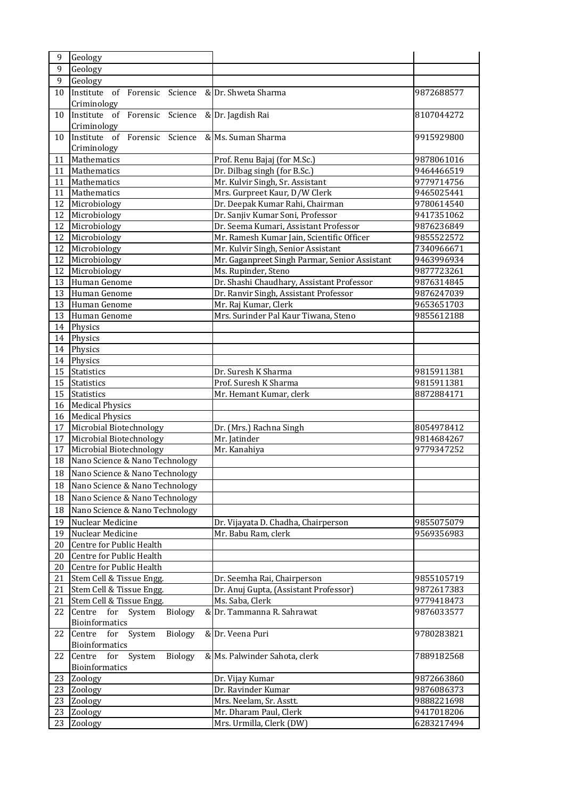| 9                | Geology                                          |                                                            |                          |
|------------------|--------------------------------------------------|------------------------------------------------------------|--------------------------|
| 9                | Geology                                          |                                                            |                          |
| $\boldsymbol{9}$ | Geology                                          |                                                            |                          |
| 10               | Institute<br>of Forensic Science                 | & Dr. Shweta Sharma                                        | 9872688577               |
|                  | Criminology                                      |                                                            |                          |
| 10               | Institute of Forensic Science & Dr. Jagdish Rai  |                                                            | 8107044272               |
|                  | Criminology                                      |                                                            |                          |
| 10               | Institute of Forensic Science & Ms. Suman Sharma |                                                            | 9915929800               |
|                  | Criminology                                      |                                                            |                          |
| 11               | Mathematics                                      | Prof. Renu Bajaj (for M.Sc.)                               | 9878061016               |
| 11               | Mathematics                                      | Dr. Dilbag singh (for B.Sc.)                               | 9464466519               |
| 11               | Mathematics                                      | Mr. Kulvir Singh, Sr. Assistant                            | 9779714756               |
| 11               | Mathematics                                      | Mrs. Gurpreet Kaur, D/W Clerk                              | 9465025441               |
| 12               | Microbiology                                     | Dr. Deepak Kumar Rahi, Chairman                            | 9780614540               |
| 12               | Microbiology                                     | Dr. Sanjiv Kumar Soni, Professor                           | 9417351062               |
| 12               | Microbiology                                     | Dr. Seema Kumari, Assistant Professor                      | 9876236849               |
| 12               | Microbiology                                     | Mr. Ramesh Kumar Jain, Scientific Officer                  | 9855522572               |
| 12               | Microbiology                                     | Mr. Kulvir Singh, Senior Assistant                         | 7340966671               |
| 12               | Microbiology                                     | Mr. Gaganpreet Singh Parmar, Senior Assistant              | 9463996934               |
| 12               | Microbiology                                     | Ms. Rupinder, Steno                                        | 9877723261               |
| 13               | Human Genome                                     | Dr. Shashi Chaudhary, Assistant Professor                  | 9876314845               |
| 13               | Human Genome                                     | Dr. Ranvir Singh, Assistant Professor                      | 9876247039               |
| 13               | Human Genome                                     | Mr. Raj Kumar, Clerk                                       | 9653651703               |
| 13               | Human Genome                                     | Mrs. Surinder Pal Kaur Tiwana, Steno                       | 9855612188               |
| 14               | Physics                                          |                                                            |                          |
| 14               | Physics                                          |                                                            |                          |
| 14               | Physics                                          |                                                            |                          |
| 14               | Physics                                          |                                                            |                          |
| 15               | <b>Statistics</b>                                | Dr. Suresh K Sharma                                        | 9815911381               |
| 15               | <b>Statistics</b>                                | Prof. Suresh K Sharma                                      | 9815911381               |
| 15               | <b>Statistics</b>                                | Mr. Hemant Kumar, clerk                                    | 8872884171               |
| 16               | <b>Medical Physics</b>                           |                                                            |                          |
| 16               | <b>Medical Physics</b>                           |                                                            |                          |
| 17               | Microbial Biotechnology                          | Dr. (Mrs.) Rachna Singh                                    | 8054978412               |
| 17               | Microbial Biotechnology                          | Mr. Jatinder                                               | 9814684267               |
| 17               | Microbial Biotechnology                          | Mr. Kanahiya                                               | 9779347252               |
| 18               | Nano Science & Nano Technology                   |                                                            |                          |
| 18               | Nano Science & Nano Technology                   |                                                            |                          |
| 18               | Nano Science & Nano Technology                   |                                                            |                          |
| 18               | Nano Science & Nano Technology                   |                                                            |                          |
| 18               | Nano Science & Nano Technology                   |                                                            |                          |
|                  | Nuclear Medicine                                 |                                                            |                          |
| 19<br>19         | Nuclear Medicine                                 | Dr. Vijayata D. Chadha, Chairperson<br>Mr. Babu Ram, clerk | 9855075079<br>9569356983 |
| 20               | Centre for Public Health                         |                                                            |                          |
| 20               | Centre for Public Health                         |                                                            |                          |
| 20               | Centre for Public Health                         |                                                            |                          |
| 21               | Stem Cell & Tissue Engg.                         | Dr. Seemha Rai, Chairperson                                | 9855105719               |
| 21               | Stem Cell & Tissue Engg.                         | Dr. Anuj Gupta, (Assistant Professor)                      | 9872617383               |
| 21               | Stem Cell & Tissue Engg.                         | Ms. Saba, Clerk                                            | 9779418473               |
| 22               | Biology<br>Centre for System                     | & Dr. Tammanna R. Sahrawat                                 | 9876033577               |
|                  | Bioinformatics                                   |                                                            |                          |
| 22               | Centre for<br>System<br>Biology                  | & Dr. Veena Puri                                           | 9780283821               |
|                  | Bioinformatics                                   |                                                            |                          |
| 22               | Centre<br>System<br><b>Biology</b><br>for        | & Ms. Palwinder Sahota, clerk                              | 7889182568               |
|                  | Bioinformatics                                   |                                                            |                          |
| 23               | Zoology                                          | Dr. Vijay Kumar                                            | 9872663860               |
| 23               | Zoology                                          | Dr. Ravinder Kumar                                         | 9876086373               |
| 23               | Zoology                                          | Mrs. Neelam, Sr. Asstt.                                    | 9888221698               |
| 23               | Zoology                                          | Mr. Dharam Paul, Clerk                                     | 9417018206               |
| 23               |                                                  | Mrs. Urmilla, Clerk (DW)                                   | 6283217494               |
|                  | Zoology                                          |                                                            |                          |